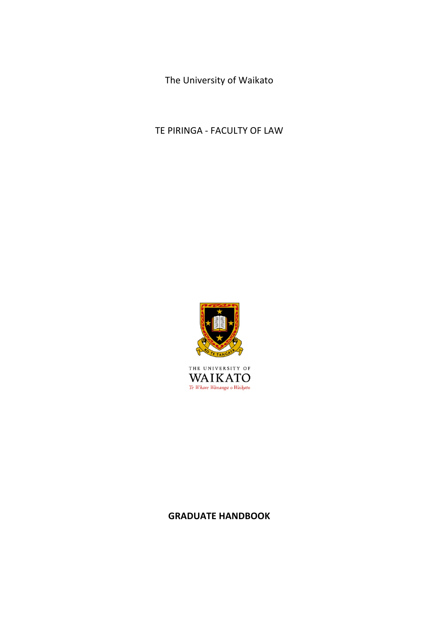The University of Waikato

TE PIRINGA - FACULTY OF LAW



THE UNIVERSITY OF  $\operatorname{\mathsf{W\!A\!I\!K\!A\!T\!O}}_{\mathit{Te\textit{ Whare\textit{ Wänanga o Waikato}}}}$ 

# **GRADUATE HANDBOOK**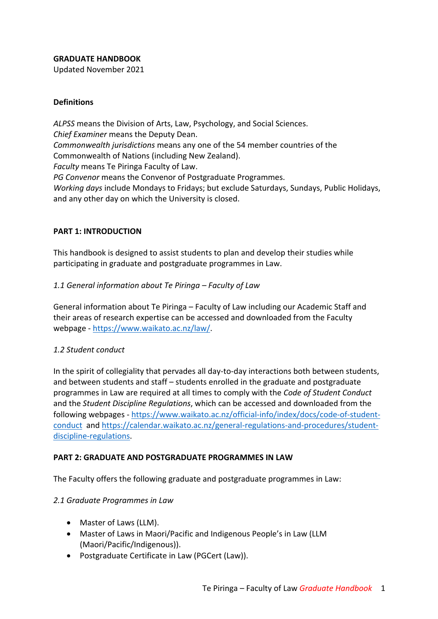### **GRADUATE HANDBOOK**

Updated November 2021

### **Definitions**

*ALPSS* means the Division of Arts, Law, Psychology, and Social Sciences. *Chief Examiner* means the Deputy Dean. *Commonwealth jurisdictions* means any one of the 54 member countries of the Commonwealth of Nations (including New Zealand). *Faculty* means Te Piringa Faculty of Law. *PG Convenor* means the Convenor of Postgraduate Programmes. *Working days* include Mondays to Fridays; but exclude Saturdays, Sundays, Public Holidays, and any other day on which the University is closed.

### **PART 1: INTRODUCTION**

This handbook is designed to assist students to plan and develop their studies while participating in graduate and postgraduate programmes in Law.

### *1.1 General information about Te Piringa – Faculty of Law*

General information about Te Piringa – Faculty of Law including our Academic Staff and their areas of research expertise can be accessed and downloaded from the Faculty webpage - https://www.waikato.ac.nz/law/.

#### *1.2 Student conduct*

In the spirit of collegiality that pervades all day-to-day interactions both between students, and between students and staff – students enrolled in the graduate and postgraduate programmes in Law are required at all times to comply with the *Code of Student Conduct* and the *Student Discipline Regulations*, which can be accessed and downloaded from the following webpages - https://www.waikato.ac.nz/official-info/index/docs/code-of-studentconduct and https://calendar.waikato.ac.nz/general-regulations-and-procedures/studentdiscipline-regulations.

#### **PART 2: GRADUATE AND POSTGRADUATE PROGRAMMES IN LAW**

The Faculty offers the following graduate and postgraduate programmes in Law:

#### *2.1 Graduate Programmes in Law*

- Master of Laws (LLM).
- Master of Laws in Maori/Pacific and Indigenous People's in Law (LLM (Maori/Pacific/Indigenous)).
- Postgraduate Certificate in Law (PGCert (Law)).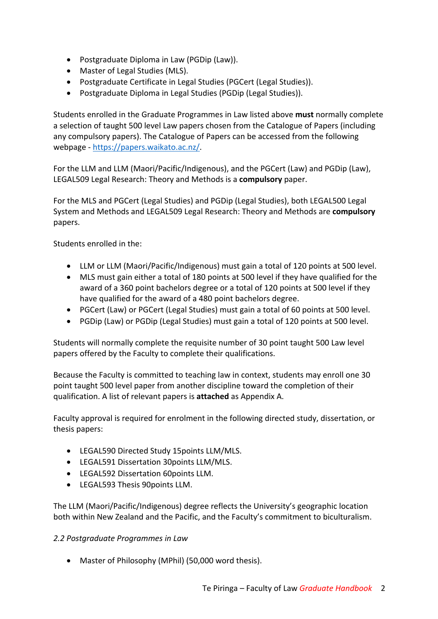- Postgraduate Diploma in Law (PGDip (Law)).
- Master of Legal Studies (MLS).
- Postgraduate Certificate in Legal Studies (PGCert (Legal Studies)).
- Postgraduate Diploma in Legal Studies (PGDip (Legal Studies)).

Students enrolled in the Graduate Programmes in Law listed above **must** normally complete a selection of taught 500 level Law papers chosen from the Catalogue of Papers (including any compulsory papers). The Catalogue of Papers can be accessed from the following webpage - https://papers.waikato.ac.nz/.

For the LLM and LLM (Maori/Pacific/Indigenous), and the PGCert (Law) and PGDip (Law), LEGAL509 Legal Research: Theory and Methods is a **compulsory** paper.

For the MLS and PGCert (Legal Studies) and PGDip (Legal Studies), both LEGAL500 Legal System and Methods and LEGAL509 Legal Research: Theory and Methods are **compulsory** papers.

Students enrolled in the:

- LLM or LLM (Maori/Pacific/Indigenous) must gain a total of 120 points at 500 level.
- MLS must gain either a total of 180 points at 500 level if they have qualified for the award of a 360 point bachelors degree or a total of 120 points at 500 level if they have qualified for the award of a 480 point bachelors degree.
- PGCert (Law) or PGCert (Legal Studies) must gain a total of 60 points at 500 level.
- PGDip (Law) or PGDip (Legal Studies) must gain a total of 120 points at 500 level.

Students will normally complete the requisite number of 30 point taught 500 Law level papers offered by the Faculty to complete their qualifications.

Because the Faculty is committed to teaching law in context, students may enroll one 30 point taught 500 level paper from another discipline toward the completion of their qualification. A list of relevant papers is **attached** as Appendix A.

Faculty approval is required for enrolment in the following directed study, dissertation, or thesis papers:

- LEGAL590 Directed Study 15points LLM/MLS.
- LEGAL591 Dissertation 30points LLM/MLS.
- LEGAL592 Dissertation 60points LLM.
- LEGAL593 Thesis 90points LLM.

The LLM (Maori/Pacific/Indigenous) degree reflects the University's geographic location both within New Zealand and the Pacific, and the Faculty's commitment to biculturalism.

### *2.2 Postgraduate Programmes in Law*

• Master of Philosophy (MPhil) (50,000 word thesis).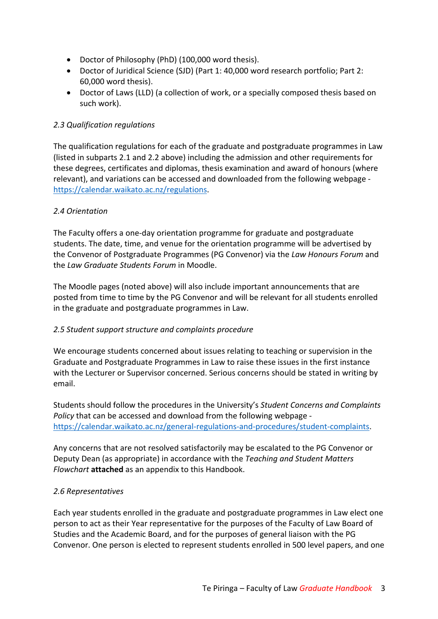- Doctor of Philosophy (PhD) (100,000 word thesis).
- Doctor of Juridical Science (SJD) (Part 1: 40,000 word research portfolio; Part 2: 60,000 word thesis).
- Doctor of Laws (LLD) (a collection of work, or a specially composed thesis based on such work).

### *2.3 Qualification regulations*

The qualification regulations for each of the graduate and postgraduate programmes in Law (listed in subparts 2.1 and 2.2 above) including the admission and other requirements for these degrees, certificates and diplomas, thesis examination and award of honours (where relevant), and variations can be accessed and downloaded from the following webpage https://calendar.waikato.ac.nz/regulations.

### *2.4 Orientation*

The Faculty offers a one-day orientation programme for graduate and postgraduate students. The date, time, and venue for the orientation programme will be advertised by the Convenor of Postgraduate Programmes (PG Convenor) via the *Law Honours Forum* and the *Law Graduate Students Forum* in Moodle.

The Moodle pages (noted above) will also include important announcements that are posted from time to time by the PG Convenor and will be relevant for all students enrolled in the graduate and postgraduate programmes in Law.

#### *2.5 Student support structure and complaints procedure*

We encourage students concerned about issues relating to teaching or supervision in the Graduate and Postgraduate Programmes in Law to raise these issues in the first instance with the Lecturer or Supervisor concerned. Serious concerns should be stated in writing by email.

Students should follow the procedures in the University's *Student Concerns and Complaints Policy* that can be accessed and download from the following webpage https://calendar.waikato.ac.nz/general-regulations-and-procedures/student-complaints.

Any concerns that are not resolved satisfactorily may be escalated to the PG Convenor or Deputy Dean (as appropriate) in accordance with the *Teaching and Student Matters Flowchart* **attached** as an appendix to this Handbook.

#### *2.6 Representatives*

Each year students enrolled in the graduate and postgraduate programmes in Law elect one person to act as their Year representative for the purposes of the Faculty of Law Board of Studies and the Academic Board, and for the purposes of general liaison with the PG Convenor. One person is elected to represent students enrolled in 500 level papers, and one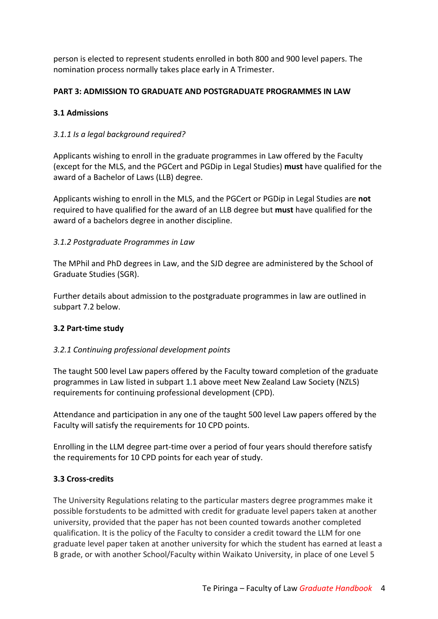person is elected to represent students enrolled in both 800 and 900 level papers. The nomination process normally takes place early in A Trimester.

### **PART 3: ADMISSION TO GRADUATE AND POSTGRADUATE PROGRAMMES IN LAW**

### **3.1 Admissions**

### *3.1.1 Is a legal background required?*

Applicants wishing to enroll in the graduate programmes in Law offered by the Faculty (except for the MLS, and the PGCert and PGDip in Legal Studies) **must** have qualified for the award of a Bachelor of Laws (LLB) degree.

Applicants wishing to enroll in the MLS, and the PGCert or PGDip in Legal Studies are **not** required to have qualified for the award of an LLB degree but **must** have qualified for the award of a bachelors degree in another discipline.

### *3.1.2 Postgraduate Programmes in Law*

The MPhil and PhD degrees in Law, and the SJD degree are administered by the School of Graduate Studies (SGR).

Further details about admission to the postgraduate programmes in law are outlined in subpart 7.2 below.

#### **3.2 Part-time study**

### *3.2.1 Continuing professional development points*

The taught 500 level Law papers offered by the Faculty toward completion of the graduate programmes in Law listed in subpart 1.1 above meet New Zealand Law Society (NZLS) requirements for continuing professional development (CPD).

Attendance and participation in any one of the taught 500 level Law papers offered by the Faculty will satisfy the requirements for 10 CPD points.

Enrolling in the LLM degree part-time over a period of four years should therefore satisfy the requirements for 10 CPD points for each year of study.

#### **3.3 Cross-credits**

The University Regulations relating to the particular masters degree programmes make it possible forstudents to be admitted with credit for graduate level papers taken at another university, provided that the paper has not been counted towards another completed qualification. It is the policy of the Faculty to consider a credit toward the LLM for one graduate level paper taken at another university for which the student has earned at least a B grade, or with another School/Faculty within Waikato University, in place of one Level 5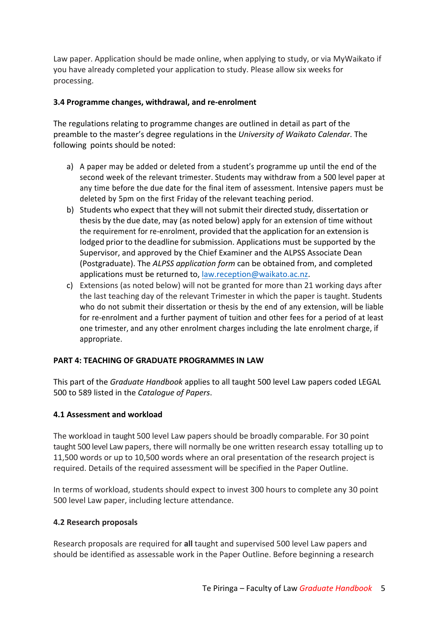Law paper. Application should be made online, when applying to study, or via MyWaikato if you have already completed your application to study. Please allow six weeks for processing.

### **3.4 Programme changes, withdrawal, and re-enrolment**

The regulations relating to programme changes are outlined in detail as part of the preamble to the master's degree regulations in the *University of Waikato Calendar*. The following points should be noted:

- a) A paper may be added or deleted from a student's programme up until the end of the second week of the relevant trimester. Students may withdraw from a 500 level paper at any time before the due date for the final item of assessment. Intensive papers must be deleted by 5pm on the first Friday of the relevant teaching period.
- b) Students who expect that they will not submit their directed study, dissertation or thesis by the due date, may (as noted below) apply for an extension of time without the requirement for re-enrolment, provided that the application for an extension is lodged prior to the deadline for submission. Applications must be supported by the Supervisor, and approved by the Chief Examiner and the ALPSS Associate Dean (Postgraduate). The *ALPSS application form* can be obtained from, and completed applications must be returned to, law.reception@waikato.ac.nz.
- c) Extensions (as noted below) will not be granted for more than 21 working days after the last teaching day of the relevant Trimester in which the paper is taught. Students who do not submit their dissertation or thesis by the end of any extension, will be liable for re-enrolment and a further payment of tuition and other fees for a period of at least one trimester, and any other enrolment charges including the late enrolment charge, if appropriate.

#### **PART 4: TEACHING OF GRADUATE PROGRAMMES IN LAW**

This part of the *Graduate Handbook* applies to all taught 500 level Law papers coded LEGAL 500 to 589 listed in the *Catalogue of Papers*.

#### **4.1 Assessment and workload**

The workload in taught 500 level Law papers should be broadly comparable. For 30 point taught 500 level Law papers, there will normally be one written research essay totalling up to 11,500 words or up to 10,500 words where an oral presentation of the research project is required. Details of the required assessment will be specified in the Paper Outline.

In terms of workload, students should expect to invest 300 hours to complete any 30 point 500 level Law paper, including lecture attendance.

#### **4.2 Research proposals**

Research proposals are required for **all** taught and supervised 500 level Law papers and should be identified as assessable work in the Paper Outline. Before beginning a research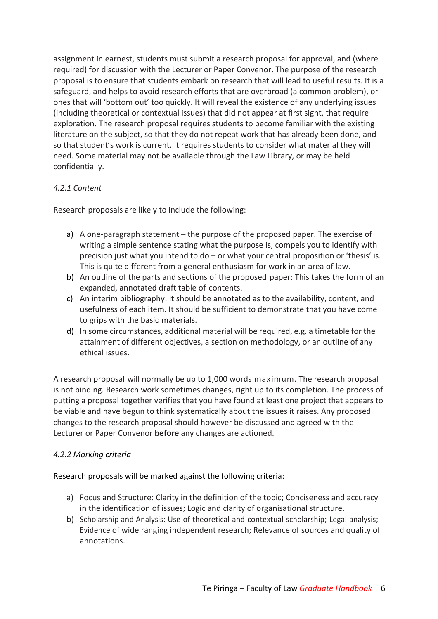assignment in earnest, students must submit a research proposal for approval, and (where required) for discussion with the Lecturer or Paper Convenor. The purpose of the research proposal is to ensure that students embark on research that will lead to useful results. It is a safeguard, and helps to avoid research efforts that are overbroad (a common problem), or ones that will 'bottom out' too quickly. It will reveal the existence of any underlying issues (including theoretical or contextual issues) that did not appear at first sight, that require exploration. The research proposal requires students to become familiar with the existing literature on the subject, so that they do not repeat work that has already been done, and so that student's work is current. It requires students to consider what material they will need. Some material may not be available through the Law Library, or may be held confidentially.

### *4.2.1 Content*

Research proposals are likely to include the following:

- a) A one-paragraph statement the purpose of the proposed paper. The exercise of writing a simple sentence stating what the purpose is, compels you to identify with precision just what you intend to do – or what your central proposition or 'thesis' is. This is quite different from a general enthusiasm for work in an area of law.
- b) An outline of the parts and sections of the proposed paper: This takes the form of an expanded, annotated draft table of contents.
- c) An interim bibliography: It should be annotated as to the availability, content, and usefulness of each item. It should be sufficient to demonstrate that you have come to grips with the basic materials.
- d) In some circumstances, additional material will be required, e.g. a timetable for the attainment of different objectives, a section on methodology, or an outline of any ethical issues.

A research proposal will normally be up to 1,000 words maximum. The research proposal is not binding. Research work sometimes changes, right up to its completion. The process of putting a proposal together verifies that you have found at least one project that appears to be viable and have begun to think systematically about the issues it raises. Any proposed changes to the research proposal should however be discussed and agreed with the Lecturer or Paper Convenor **before** any changes are actioned.

### *4.2.2 Marking criteria*

Research proposals will be marked against the following criteria:

- a) Focus and Structure: Clarity in the definition of the topic; Conciseness and accuracy in the identification of issues; Logic and clarity of organisational structure.
- b) Scholarship and Analysis: Use of theoretical and contextual scholarship; Legal analysis; Evidence of wide ranging independent research; Relevance of sources and quality of annotations.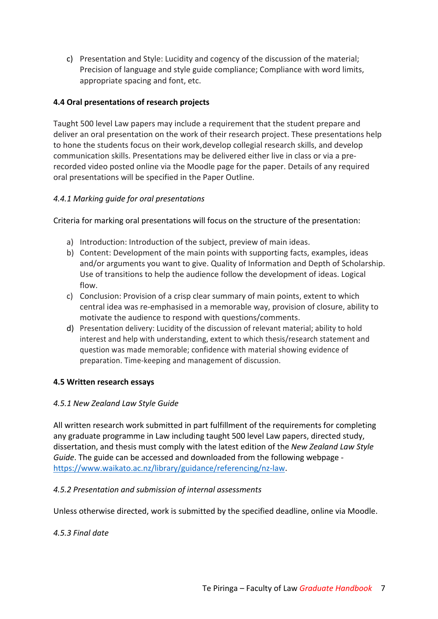c) Presentation and Style: Lucidity and cogency of the discussion of the material; Precision of language and style guide compliance; Compliance with word limits, appropriate spacing and font, etc.

### **4.4 Oral presentations of research projects**

Taught 500 level Law papers may include a requirement that the student prepare and deliver an oral presentation on the work of their research project. These presentations help to hone the students focus on their work,develop collegial research skills, and develop communication skills. Presentations may be delivered either live in class or via a prerecorded video posted online via the Moodle page for the paper. Details of any required oral presentations will be specified in the Paper Outline.

### *4.4.1 Marking guide for oral presentations*

Criteria for marking oral presentations will focus on the structure of the presentation:

- a) Introduction: Introduction of the subject, preview of main ideas.
- b) Content: Development of the main points with supporting facts, examples, ideas and/or arguments you want to give. Quality of Information and Depth of Scholarship. Use of transitions to help the audience follow the development of ideas. Logical flow.
- c) Conclusion: Provision of a crisp clear summary of main points, extent to which central idea was re-emphasised in a memorable way, provision of closure, ability to motivate the audience to respond with questions/comments.
- d) Presentation delivery: Lucidity of the discussion of relevant material; ability to hold interest and help with understanding, extent to which thesis/research statement and question was made memorable; confidence with material showing evidence of preparation. Time-keeping and management of discussion.

#### **4.5 Written research essays**

#### *4.5.1 New Zealand Law Style Guide*

All written research work submitted in part fulfillment of the requirements for completing any graduate programme in Law including taught 500 level Law papers, directed study, dissertation, and thesis must comply with the latest edition of the *New Zealand Law Style Guide*. The guide can be accessed and downloaded from the following webpage https://www.waikato.ac.nz/library/guidance/referencing/nz-law.

#### *4.5.2 Presentation and submission of internal assessments*

Unless otherwise directed, work is submitted by the specified deadline, online via Moodle.

#### *4.5.3 Final date*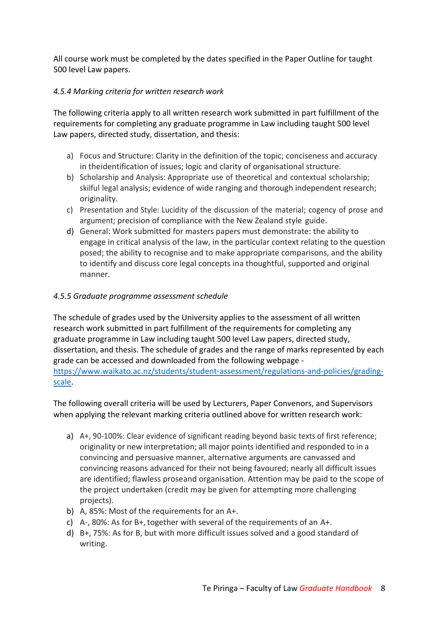All course work must be completed by the dates specified in the Paper Outline for taught 500 level Law papers.

### *4.5.4 Marking criteria for written research work*

The following criteria apply to all written research work submitted in part fulfillment of the requirements for completing any graduate programme in Law including taught 500 level Law papers, directed study, dissertation, and thesis:

- a) Focus and Structure: Clarity in the definition of the topic; conciseness and accuracy in theidentification of issues; logic and clarity of organisational structure.
- b) Scholarship and Analysis: Appropriate use of theoretical and contextual scholarship; skilful legal analysis; evidence of wide ranging and thorough independent research; originality.
- c) Presentation and Style: Lucidity of the discussion of the material; cogency of prose and argument; precision of compliance with the New Zealand style guide.
- d) General: Work submitted for masters papers must demonstrate: the ability to engage in critical analysis of the law, in the particular context relating to the question posed; the ability to recognise and to make appropriate comparisons, and the ability to identify and discuss core legal concepts ina thoughtful, supported and original manner.

### *4.5.5 Graduate programme assessment schedule*

The schedule of grades used by the University applies to the assessment of all written research work submitted in part fulfillment of the requirements for completing any graduate programme in Law including taught 500 level Law papers, directed study, dissertation, and thesis. The schedule of grades and the range of marks represented by each grade can be accessed and downloaded from the following webpage https://www.waikato.ac.nz/students/student-assessment/regulations-and-policies/gradingscale.

The following overall criteria will be used by Lecturers, Paper Convenors, and Supervisors when applying the relevant marking criteria outlined above for written research work:

- a) A+, 90-100%: Clear evidence of significant reading beyond basic texts of first reference; originality or new interpretation; all major points identified and responded to in a convincing and persuasive manner, alternative arguments are canvassed and convincing reasons advanced for their not being favoured; nearly all difficult issues are identified; flawless proseand organisation. Attention may be paid to the scope of the project undertaken (credit may be given for attempting more challenging projects).
- b) A, 85%: Most of the requirements for an A+.
- c) A-, 80%: As for B+, together with several of the requirements of an A+.
- d) B+, 75%: As for B, but with more difficult issues solved and a good standard of writing.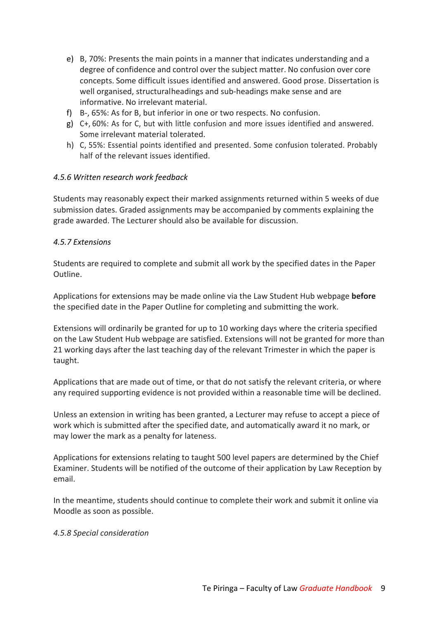- e) B, 70%: Presents the main points in a manner that indicates understanding and a degree of confidence and control over the subject matter. No confusion over core concepts. Some difficult issues identified and answered. Good prose. Dissertation is well organised, structuralheadings and sub-headings make sense and are informative. No irrelevant material.
- f) B-, 65%: As for B, but inferior in one or two respects. No confusion.
- g) C+, 60%: As for C, but with little confusion and more issues identified and answered. Some irrelevant material tolerated.
- h) C, 55%: Essential points identified and presented. Some confusion tolerated. Probably half of the relevant issues identified.

### *4.5.6 Written research work feedback*

Students may reasonably expect their marked assignments returned within 5 weeks of due submission dates. Graded assignments may be accompanied by comments explaining the grade awarded. The Lecturer should also be available for discussion.

#### *4.5.7 Extensions*

Students are required to complete and submit all work by the specified dates in the Paper Outline.

Applications for extensions may be made online via the Law Student Hub webpage **before** the specified date in the Paper Outline for completing and submitting the work.

Extensions will ordinarily be granted for up to 10 working days where the criteria specified on the Law Student Hub webpage are satisfied. Extensions will not be granted for more than 21 working days after the last teaching day of the relevant Trimester in which the paper is taught.

Applications that are made out of time, or that do not satisfy the relevant criteria, or where any required supporting evidence is not provided within a reasonable time will be declined.

Unless an extension in writing has been granted, a Lecturer may refuse to accept a piece of work which is submitted after the specified date, and automatically award it no mark, or may lower the mark as a penalty for lateness.

Applications for extensions relating to taught 500 level papers are determined by the Chief Examiner. Students will be notified of the outcome of their application by Law Reception by email.

In the meantime, students should continue to complete their work and submit it online via Moodle as soon as possible.

#### *4.5.8 Special consideration*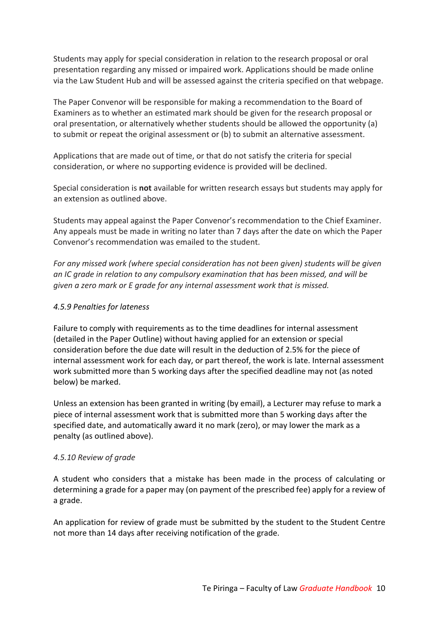Students may apply for special consideration in relation to the research proposal or oral presentation regarding any missed or impaired work. Applications should be made online via the Law Student Hub and will be assessed against the criteria specified on that webpage.

The Paper Convenor will be responsible for making a recommendation to the Board of Examiners as to whether an estimated mark should be given for the research proposal or oral presentation, or alternatively whether students should be allowed the opportunity (a) to submit or repeat the original assessment or (b) to submit an alternative assessment.

Applications that are made out of time, or that do not satisfy the criteria for special consideration, or where no supporting evidence is provided will be declined.

Special consideration is **not** available for written research essays but students may apply for an extension as outlined above.

Students may appeal against the Paper Convenor's recommendation to the Chief Examiner. Any appeals must be made in writing no later than 7 days after the date on which the Paper Convenor's recommendation was emailed to the student.

*For any missed work (where special consideration has not been given) students will be given an IC grade in relation to any compulsory examination that has been missed, and will be given a zero mark or E grade for any internal assessment work that is missed.*

### *4.5.9 Penalties for lateness*

Failure to comply with requirements as to the time deadlines for internal assessment (detailed in the Paper Outline) without having applied for an extension or special consideration before the due date will result in the deduction of 2.5% for the piece of internal assessment work for each day, or part thereof, the work is late. Internal assessment work submitted more than 5 working days after the specified deadline may not (as noted below) be marked.

Unless an extension has been granted in writing (by email), a Lecturer may refuse to mark a piece of internal assessment work that is submitted more than 5 working days after the specified date, and automatically award it no mark (zero), or may lower the mark as a penalty (as outlined above).

#### *4.5.10 Review of grade*

A student who considers that a mistake has been made in the process of calculating or determining a grade for a paper may (on payment of the prescribed fee) apply for a review of a grade.

An application for review of grade must be submitted by the student to the Student Centre not more than 14 days after receiving notification of the grade.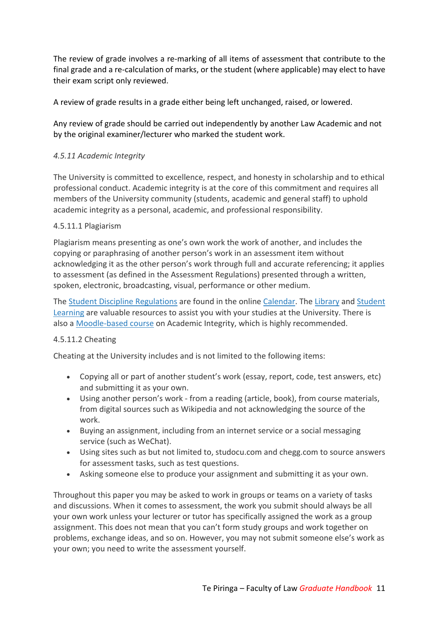The review of grade involves a re-marking of all items of assessment that contribute to the final grade and a re-calculation of marks, or the student (where applicable) may elect to have their exam script only reviewed.

A review of grade results in a grade either being left unchanged, raised, or lowered.

Any review of grade should be carried out independently by another Law Academic and not by the original examiner/lecturer who marked the student work.

### *4.5.11 Academic Integrity*

The University is committed to excellence, respect, and honesty in scholarship and to ethical professional conduct. Academic integrity is at the core of this commitment and requires all members of the University community (students, academic and general staff) to uphold academic integrity as a personal, academic, and professional responsibility.

### 4.5.11.1 Plagiarism

Plagiarism means presenting as one's own work the work of another, and includes the copying or paraphrasing of another person's work in an assessment item without acknowledging it as the other person's work through full and accurate referencing; it applies to assessment (as defined in the Assessment Regulations) presented through a written, spoken, electronic, broadcasting, visual, performance or other medium.

The Student Discipline Regulations are found in the online Calendar. The Library and Student Learning are valuable resources to assist you with your studies at the University. There is also a Moodle-based course on Academic Integrity, which is highly recommended.

#### 4.5.11.2 Cheating

Cheating at the University includes and is not limited to the following items:

- Copying all or part of another student's work (essay, report, code, test answers, etc) and submitting it as your own.
- Using another person's work from a reading (article, book), from course materials, from digital sources such as Wikipedia and not acknowledging the source of the work.
- Buying an assignment, including from an internet service or a social messaging service (such as WeChat).
- Using sites such as but not limited to, studocu.com and chegg.com to source answers for assessment tasks, such as test questions.
- Asking someone else to produce your assignment and submitting it as your own.

Throughout this paper you may be asked to work in groups or teams on a variety of tasks and discussions. When it comes to assessment, the work you submit should always be all your own work unless your lecturer or tutor has specifically assigned the work as a group assignment. This does not mean that you can't form study groups and work together on problems, exchange ideas, and so on. However, you may not submit someone else's work as your own; you need to write the assessment yourself.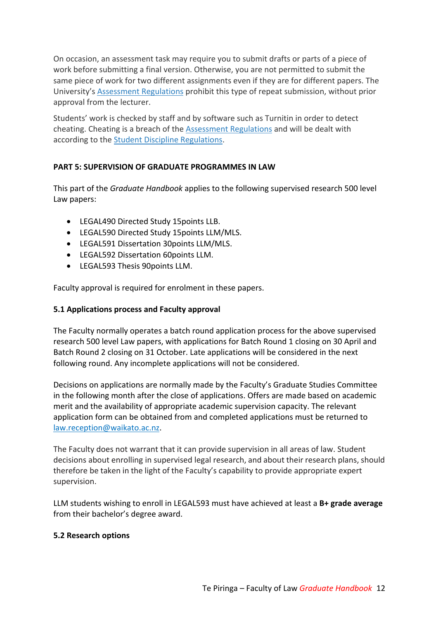On occasion, an assessment task may require you to submit drafts or parts of a piece of work before submitting a final version. Otherwise, you are not permitted to submit the same piece of work for two different assignments even if they are for different papers. The University's Assessment Regulations prohibit this type of repeat submission, without prior approval from the lecturer.

Students' work is checked by staff and by software such as Turnitin in order to detect cheating. Cheating is a breach of the Assessment Regulations and will be dealt with according to the Student Discipline Regulations.

## **PART 5: SUPERVISION OF GRADUATE PROGRAMMES IN LAW**

This part of the *Graduate Handbook* applies to the following supervised research 500 level Law papers:

- LEGAL490 Directed Study 15points LLB.
- LEGAL590 Directed Study 15points LLM/MLS.
- LEGAL591 Dissertation 30points LLM/MLS.
- LEGAL592 Dissertation 60points LLM.
- LEGAL593 Thesis 90points LLM.

Faculty approval is required for enrolment in these papers.

### **5.1 Applications process and Faculty approval**

The Faculty normally operates a batch round application process for the above supervised research 500 level Law papers, with applications for Batch Round 1 closing on 30 April and Batch Round 2 closing on 31 October. Late applications will be considered in the next following round. Any incomplete applications will not be considered.

Decisions on applications are normally made by the Faculty's Graduate Studies Committee in the following month after the close of applications. Offers are made based on academic merit and the availability of appropriate academic supervision capacity. The relevant application form can be obtained from and completed applications must be returned to law.reception@waikato.ac.nz.

The Faculty does not warrant that it can provide supervision in all areas of law. Student decisions about enrolling in supervised legal research, and about their research plans, should therefore be taken in the light of the Faculty's capability to provide appropriate expert supervision.

LLM students wishing to enroll in LEGAL593 must have achieved at least a **B+ grade average** from their bachelor's degree award.

#### **5.2 Research options**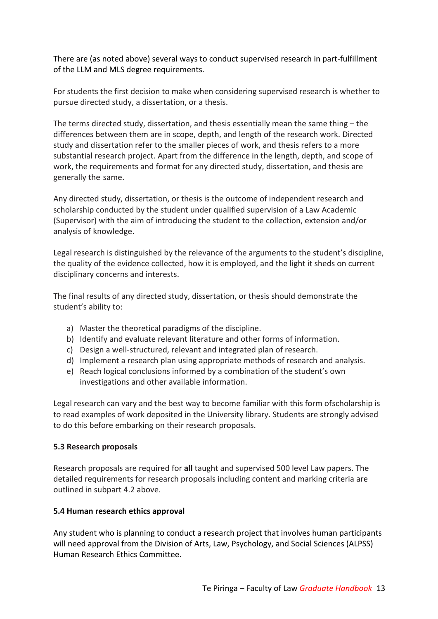There are (as noted above) several ways to conduct supervised research in part-fulfillment of the LLM and MLS degree requirements.

For students the first decision to make when considering supervised research is whether to pursue directed study, a dissertation, or a thesis.

The terms directed study, dissertation, and thesis essentially mean the same thing  $-$  the differences between them are in scope, depth, and length of the research work. Directed study and dissertation refer to the smaller pieces of work, and thesis refers to a more substantial research project. Apart from the difference in the length, depth, and scope of work, the requirements and format for any directed study, dissertation, and thesis are generally the same.

Any directed study, dissertation, or thesis is the outcome of independent research and scholarship conducted by the student under qualified supervision of a Law Academic (Supervisor) with the aim of introducing the student to the collection, extension and/or analysis of knowledge.

Legal research is distinguished by the relevance of the arguments to the student's discipline, the quality of the evidence collected, how it is employed, and the light it sheds on current disciplinary concerns and interests.

The final results of any directed study, dissertation, or thesis should demonstrate the student's ability to:

- a) Master the theoretical paradigms of the discipline.
- b) Identify and evaluate relevant literature and other forms of information.
- c) Design a well-structured, relevant and integrated plan of research.
- d) Implement a research plan using appropriate methods of research and analysis.
- e) Reach logical conclusions informed by a combination of the student's own investigations and other available information.

Legal research can vary and the best way to become familiar with this form ofscholarship is to read examples of work deposited in the University library. Students are strongly advised to do this before embarking on their research proposals.

#### **5.3 Research proposals**

Research proposals are required for **all** taught and supervised 500 level Law papers. The detailed requirements for research proposals including content and marking criteria are outlined in subpart 4.2 above.

#### **5.4 Human research ethics approval**

Any student who is planning to conduct a research project that involves human participants will need approval from the Division of Arts, Law, Psychology, and Social Sciences (ALPSS) Human Research Ethics Committee.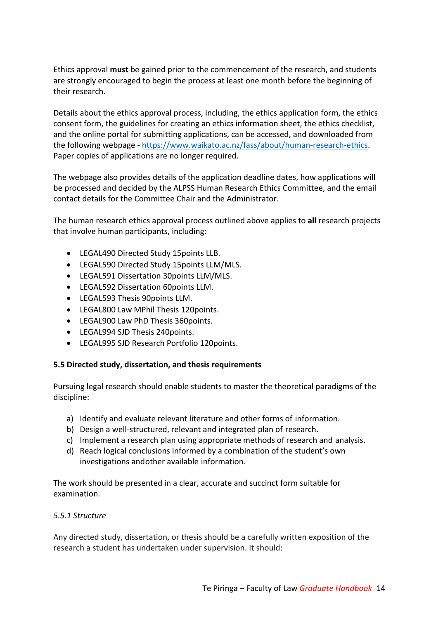Ethics approval **must** be gained prior to the commencement of the research, and students are strongly encouraged to begin the process at least one month before the beginning of their research.

Details about the ethics approval process, including, the ethics application form, the ethics consent form, the guidelines for creating an ethics information sheet, the ethics checklist, and the online portal for submitting applications, can be accessed, and downloaded from the following webpage - https://www.waikato.ac.nz/fass/about/human-research-ethics. Paper copies of applications are no longer required.

The webpage also provides details of the application deadline dates, how applications will be processed and decided by the ALPSS Human Research Ethics Committee, and the email contact details for the Committee Chair and the Administrator.

The human research ethics approval process outlined above applies to **all** research projects that involve human participants, including:

- LEGAL490 Directed Study 15points LLB.
- LEGAL590 Directed Study 15points LLM/MLS.
- LEGAL591 Dissertation 30points LLM/MLS.
- LEGAL592 Dissertation 60points LLM.
- LEGAL593 Thesis 90points LLM.
- LEGAL800 Law MPhil Thesis 120points.
- LEGAL900 Law PhD Thesis 360points.
- LEGAL994 SJD Thesis 240points.
- LEGAL995 SJD Research Portfolio 120points.

### **5.5 Directed study, dissertation, and thesis requirements**

Pursuing legal research should enable students to master the theoretical paradigms of the discipline:

- a) Identify and evaluate relevant literature and other forms of information.
- b) Design a well-structured, relevant and integrated plan of research.
- c) Implement a research plan using appropriate methods of research and analysis.
- d) Reach logical conclusions informed by a combination of the student's own investigations andother available information.

The work should be presented in a clear, accurate and succinct form suitable for examination.

#### *5.5.1 Structure*

Any directed study, dissertation, or thesis should be a carefully written exposition of the research a student has undertaken under supervision. It should: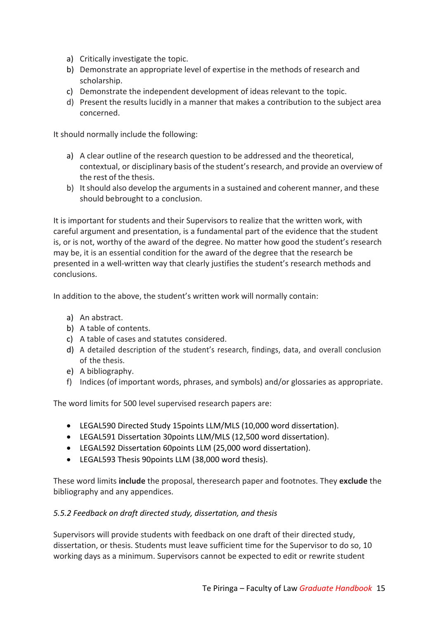- a) Critically investigate the topic.
- b) Demonstrate an appropriate level of expertise in the methods of research and scholarship.
- c) Demonstrate the independent development of ideas relevant to the topic.
- d) Present the results lucidly in a manner that makes a contribution to the subject area concerned.

It should normally include the following:

- a) A clear outline of the research question to be addressed and the theoretical, contextual, or disciplinary basis of the student'sresearch, and provide an overview of the rest of the thesis.
- b) It should also develop the arguments in a sustained and coherent manner, and these should bebrought to a conclusion.

It is important for students and their Supervisors to realize that the written work, with careful argument and presentation, is a fundamental part of the evidence that the student is, or is not, worthy of the award of the degree. No matter how good the student's research may be, it is an essential condition for the award of the degree that the research be presented in a well-written way that clearly justifies the student's research methods and conclusions.

In addition to the above, the student's written work will normally contain:

- a) An abstract.
- b) A table of contents.
- c) A table of cases and statutes considered.
- d) A detailed description of the student's research, findings, data, and overall conclusion of the thesis.
- e) A bibliography.
- f) Indices (of important words, phrases, and symbols) and/or glossaries as appropriate.

The word limits for 500 level supervised research papers are:

- LEGAL590 Directed Study 15points LLM/MLS (10,000 word dissertation).
- LEGAL591 Dissertation 30points LLM/MLS (12,500 word dissertation).
- LEGAL592 Dissertation 60points LLM (25,000 word dissertation).
- LEGAL593 Thesis 90points LLM (38,000 word thesis).

These word limits **include** the proposal, theresearch paper and footnotes. They **exclude** the bibliography and any appendices.

#### *5.5.2 Feedback on draft directed study, dissertation, and thesis*

Supervisors will provide students with feedback on one draft of their directed study, dissertation, or thesis. Students must leave sufficient time for the Supervisor to do so, 10 working days as a minimum. Supervisors cannot be expected to edit or rewrite student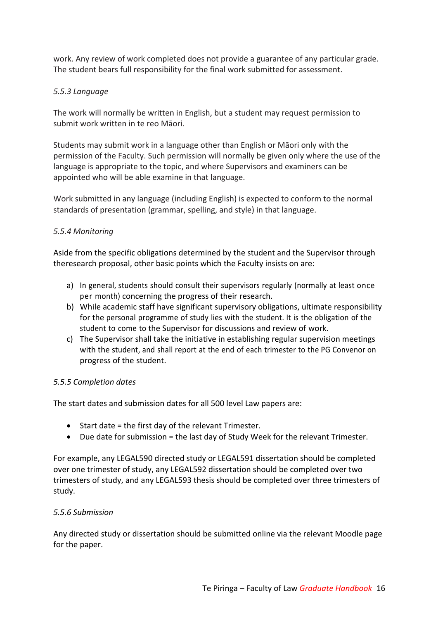work. Any review of work completed does not provide a guarantee of any particular grade. The student bears full responsibility for the final work submitted for assessment.

### *5.5.3 Language*

The work will normally be written in English, but a student may request permission to submit work written in te reo Māori.

Students may submit work in a language other than English or Māori only with the permission of the Faculty. Such permission will normally be given only where the use of the language is appropriate to the topic, and where Supervisors and examiners can be appointed who will be able examine in that language.

Work submitted in any language (including English) is expected to conform to the normal standards of presentation (grammar, spelling, and style) in that language.

### *5.5.4 Monitoring*

Aside from the specific obligations determined by the student and the Supervisor through theresearch proposal, other basic points which the Faculty insists on are:

- a) In general, students should consult their supervisors regularly (normally at least once per month) concerning the progress of their research.
- b) While academic staff have significant supervisory obligations, ultimate responsibility for the personal programme of study lies with the student. It is the obligation of the student to come to the Supervisor for discussions and review of work.
- c) The Supervisor shall take the initiative in establishing regular supervision meetings with the student, and shall report at the end of each trimester to the PG Convenor on progress of the student.

#### *5.5.5 Completion dates*

The start dates and submission dates for all 500 level Law papers are:

- Start date = the first day of the relevant Trimester.
- Due date for submission = the last day of Study Week for the relevant Trimester.

For example, any LEGAL590 directed study or LEGAL591 dissertation should be completed over one trimester of study, any LEGAL592 dissertation should be completed over two trimesters of study, and any LEGAL593 thesis should be completed over three trimesters of study.

#### *5.5.6 Submission*

Any directed study or dissertation should be submitted online via the relevant Moodle page for the paper.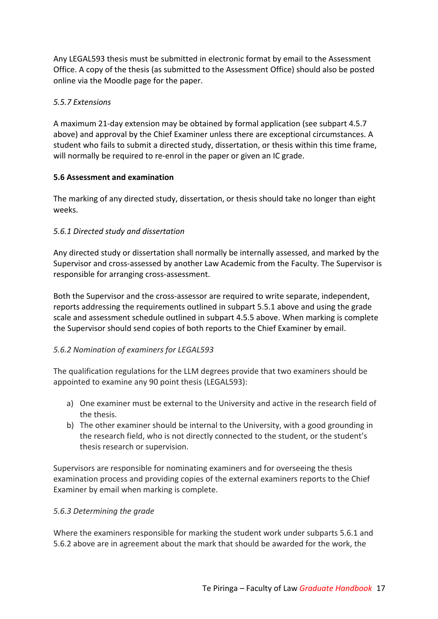Any LEGAL593 thesis must be submitted in electronic format by email to the Assessment Office. A copy of the thesis (as submitted to the Assessment Office) should also be posted online via the Moodle page for the paper.

### *5.5.7 Extensions*

A maximum 21-day extension may be obtained by formal application (see subpart 4.5.7 above) and approval by the Chief Examiner unless there are exceptional circumstances. A student who fails to submit a directed study, dissertation, or thesis within this time frame, will normally be required to re-enrol in the paper or given an IC grade.

### **5.6 Assessment and examination**

The marking of any directed study, dissertation, or thesis should take no longer than eight weeks.

### *5.6.1 Directed study and dissertation*

Any directed study or dissertation shall normally be internally assessed, and marked by the Supervisor and cross-assessed by another Law Academic from the Faculty. The Supervisor is responsible for arranging cross-assessment.

Both the Supervisor and the cross-assessor are required to write separate, independent, reports addressing the requirements outlined in subpart 5.5.1 above and using the grade scale and assessment schedule outlined in subpart 4.5.5 above. When marking is complete the Supervisor should send copies of both reports to the Chief Examiner by email.

### *5.6.2 Nomination of examiners for LEGAL593*

The qualification regulations for the LLM degrees provide that two examiners should be appointed to examine any 90 point thesis (LEGAL593):

- a) One examiner must be external to the University and active in the research field of the thesis.
- b) The other examiner should be internal to the University, with a good grounding in the research field, who is not directly connected to the student, or the student's thesis research or supervision.

Supervisors are responsible for nominating examiners and for overseeing the thesis examination process and providing copies of the external examiners reports to the Chief Examiner by email when marking is complete.

#### *5.6.3 Determining the grade*

Where the examiners responsible for marking the student work under subparts 5.6.1 and 5.6.2 above are in agreement about the mark that should be awarded for the work, the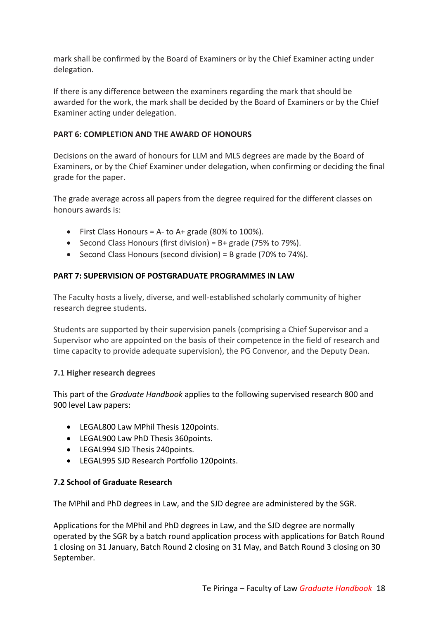mark shall be confirmed by the Board of Examiners or by the Chief Examiner acting under delegation.

If there is any difference between the examiners regarding the mark that should be awarded for the work, the mark shall be decided by the Board of Examiners or by the Chief Examiner acting under delegation.

#### **PART 6: COMPLETION AND THE AWARD OF HONOURS**

Decisions on the award of honours for LLM and MLS degrees are made by the Board of Examiners, or by the Chief Examiner under delegation, when confirming or deciding the final grade for the paper.

The grade average across all papers from the degree required for the different classes on honours awards is:

- First Class Honours = A- to A+ grade (80% to 100%).
- Second Class Honours (first division) = B+ grade (75% to 79%).
- Second Class Honours (second division) = B grade (70% to 74%).

### **PART 7: SUPERVISION OF POSTGRADUATE PROGRAMMES IN LAW**

The Faculty hosts a lively, diverse, and well-established scholarly community of higher research degree students.

Students are supported by their supervision panels (comprising a Chief Supervisor and a Supervisor who are appointed on the basis of their competence in the field of research and time capacity to provide adequate supervision), the PG Convenor, and the Deputy Dean.

#### **7.1 Higher research degrees**

This part of the *Graduate Handbook* applies to the following supervised research 800 and 900 level Law papers:

- LEGAL800 Law MPhil Thesis 120points.
- LEGAL900 Law PhD Thesis 360points.
- LEGAL994 SJD Thesis 240points.
- LEGAL995 SJD Research Portfolio 120points.

### **7.2 School of Graduate Research**

The MPhil and PhD degrees in Law, and the SJD degree are administered by the SGR.

Applications for the MPhil and PhD degrees in Law, and the SJD degree are normally operated by the SGR by a batch round application process with applications for Batch Round 1 closing on 31 January, Batch Round 2 closing on 31 May, and Batch Round 3 closing on 30 September.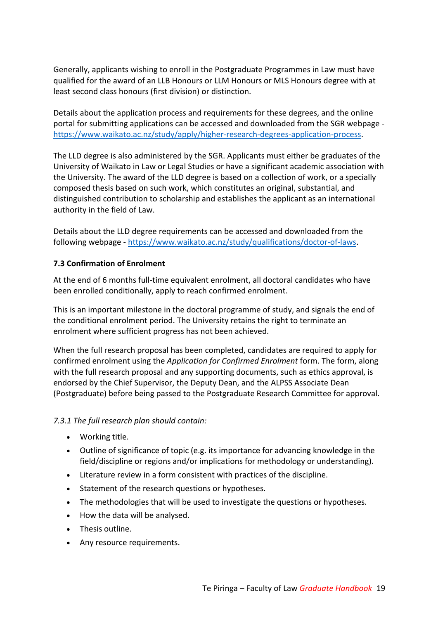Generally, applicants wishing to enroll in the Postgraduate Programmes in Law must have qualified for the award of an LLB Honours or LLM Honours or MLS Honours degree with at least second class honours (first division) or distinction.

Details about the application process and requirements for these degrees, and the online portal for submitting applications can be accessed and downloaded from the SGR webpage https://www.waikato.ac.nz/study/apply/higher-research-degrees-application-process.

The LLD degree is also administered by the SGR. Applicants must either be graduates of the University of Waikato in Law or Legal Studies or have a significant academic association with the University. The award of the LLD degree is based on a collection of work, or a specially composed thesis based on such work, which constitutes an original, substantial, and distinguished contribution to scholarship and establishes the applicant as an international authority in the field of Law.

Details about the LLD degree requirements can be accessed and downloaded from the following webpage - https://www.waikato.ac.nz/study/qualifications/doctor-of-laws.

### **7.3 Confirmation of Enrolment**

At the end of 6 months full-time equivalent enrolment, all doctoral candidates who have been enrolled conditionally, apply to reach confirmed enrolment.

This is an important milestone in the doctoral programme of study, and signals the end of the conditional enrolment period. The University retains the right to terminate an enrolment where sufficient progress has not been achieved.

When the full research proposal has been completed, candidates are required to apply for confirmed enrolment using the *Application for Confirmed Enrolment* form. The form, along with the full research proposal and any supporting documents, such as ethics approval, is endorsed by the Chief Supervisor, the Deputy Dean, and the ALPSS Associate Dean (Postgraduate) before being passed to the Postgraduate Research Committee for approval.

*7.3.1 The full research plan should contain:*

- Working title.
- Outline of significance of topic (e.g. its importance for advancing knowledge in the field/discipline or regions and/or implications for methodology or understanding).
- Literature review in a form consistent with practices of the discipline.
- Statement of the research questions or hypotheses.
- The methodologies that will be used to investigate the questions or hypotheses.
- How the data will be analysed.
- Thesis outline.
- Any resource requirements.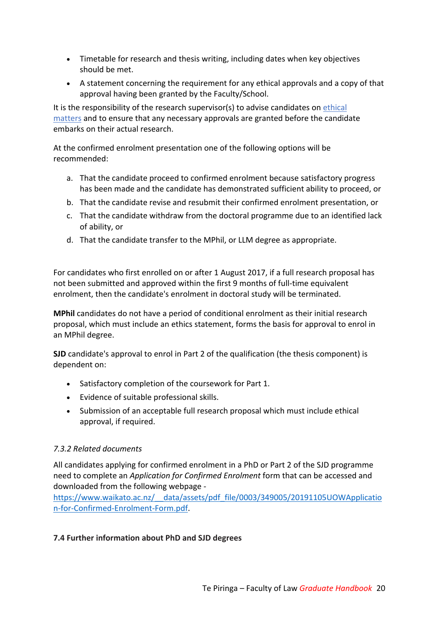- Timetable for research and thesis writing, including dates when key objectives should be met.
- A statement concerning the requirement for any ethical approvals and a copy of that approval having been granted by the Faculty/School.

It is the responsibility of the research supervisor(s) to advise candidates on ethical matters and to ensure that any necessary approvals are granted before the candidate embarks on their actual research.

At the confirmed enrolment presentation one of the following options will be recommended:

- a. That the candidate proceed to confirmed enrolment because satisfactory progress has been made and the candidate has demonstrated sufficient ability to proceed, or
- b. That the candidate revise and resubmit their confirmed enrolment presentation, or
- c. That the candidate withdraw from the doctoral programme due to an identified lack of ability, or
- d. That the candidate transfer to the MPhil, or LLM degree as appropriate.

For candidates who first enrolled on or after 1 August 2017, if a full research proposal has not been submitted and approved within the first 9 months of full-time equivalent enrolment, then the candidate's enrolment in doctoral study will be terminated.

**MPhil** candidates do not have a period of conditional enrolment as their initial research proposal, which must include an ethics statement, forms the basis for approval to enrol in an MPhil degree.

**SJD** candidate's approval to enrol in Part 2 of the qualification (the thesis component) is dependent on:

- Satisfactory completion of the coursework for Part 1.
- Evidence of suitable professional skills.
- Submission of an acceptable full research proposal which must include ethical approval, if required.

### *7.3.2 Related documents*

All candidates applying for confirmed enrolment in a PhD or Part 2 of the SJD programme need to complete an *Application for Confirmed Enrolment* form that can be accessed and downloaded from the following webpage -

https://www.waikato.ac.nz/\_\_data/assets/pdf\_file/0003/349005/20191105UOWApplicatio n-for-Confirmed-Enrolment-Form.pdf.

#### **7.4 Further information about PhD and SJD degrees**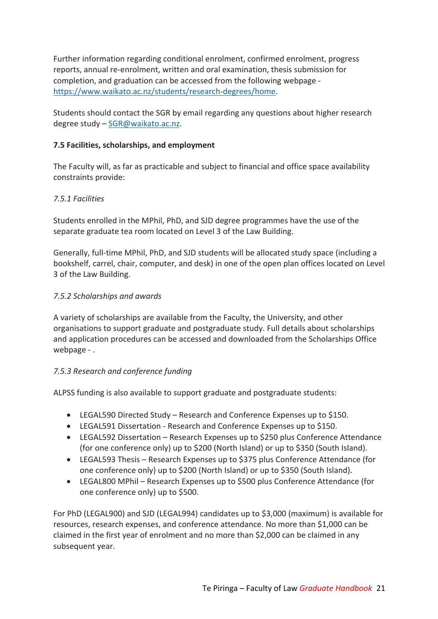Further information regarding conditional enrolment, confirmed enrolment, progress reports, annual re-enrolment, written and oral examination, thesis submission for completion, and graduation can be accessed from the following webpage https://www.waikato.ac.nz/students/research-degrees/home.

Students should contact the SGR by email regarding any questions about higher research degree study – SGR@waikato.ac.nz.

### **7.5 Facilities, scholarships, and employment**

The Faculty will, as far as practicable and subject to financial and office space availability constraints provide:

### *7.5.1 Facilities*

Students enrolled in the MPhil, PhD, and SJD degree programmes have the use of the separate graduate tea room located on Level 3 of the Law Building.

Generally, full-time MPhil, PhD, and SJD students will be allocated study space (including a bookshelf, carrel, chair, computer, and desk) in one of the open plan offices located on Level 3 of the Law Building.

### *7.5.2 Scholarships and awards*

A variety of scholarships are available from the Faculty, the University, and other organisations to support graduate and postgraduate study. Full details about scholarships and application procedures can be accessed and downloaded from the Scholarships Office webpage - .

### *7.5.3 Research and conference funding*

ALPSS funding is also available to support graduate and postgraduate students:

- LEGAL590 Directed Study Research and Conference Expenses up to \$150.
- LEGAL591 Dissertation Research and Conference Expenses up to \$150.
- LEGAL592 Dissertation Research Expenses up to \$250 plus Conference Attendance (for one conference only) up to \$200 (North Island) or up to \$350 (South Island).
- LEGAL593 Thesis Research Expenses up to \$375 plus Conference Attendance (for one conference only) up to \$200 (North Island) or up to \$350 (South Island).
- LEGAL800 MPhil Research Expenses up to \$500 plus Conference Attendance (for one conference only) up to \$500.

For PhD (LEGAL900) and SJD (LEGAL994) candidates up to \$3,000 (maximum) is available for resources, research expenses, and conference attendance. No more than \$1,000 can be claimed in the first year of enrolment and no more than \$2,000 can be claimed in any subsequent year.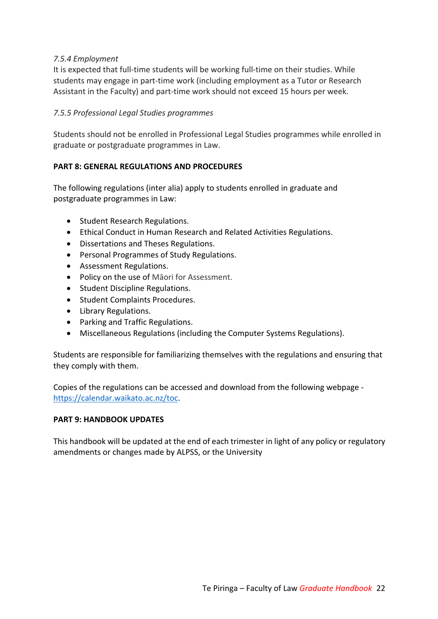### *7.5.4 Employment*

It is expected that full-time students will be working full-time on their studies. While students may engage in part-time work (including employment as a Tutor or Research Assistant in the Faculty) and part-time work should not exceed 15 hours per week.

### *7.5.5 Professional Legal Studies programmes*

Students should not be enrolled in Professional Legal Studies programmes while enrolled in graduate or postgraduate programmes in Law.

### **PART 8: GENERAL REGULATIONS AND PROCEDURES**

The following regulations (inter alia) apply to students enrolled in graduate and postgraduate programmes in Law:

- Student Research Regulations.
- Ethical Conduct in Human Research and Related Activities Regulations.
- Dissertations and Theses Regulations.
- Personal Programmes of Study Regulations.
- Assessment Regulations.
- Policy on the use of Māori for Assessment.
- Student Discipline Regulations.
- Student Complaints Procedures.
- Library Regulations.
- Parking and Traffic Regulations.
- Miscellaneous Regulations (including the Computer Systems Regulations).

Students are responsible for familiarizing themselves with the regulations and ensuring that they comply with them.

Copies of the regulations can be accessed and download from the following webpage https://calendar.waikato.ac.nz/toc.

#### **PART 9: HANDBOOK UPDATES**

This handbook will be updated at the end of each trimester in light of any policy or regulatory amendments or changes made by ALPSS, or the University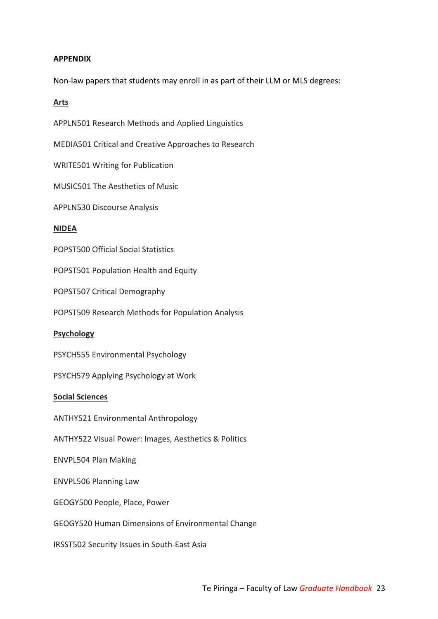#### **APPENDIX**

Non-law papers that students may enroll in as part of their LLM or MLS degrees:

### **Arts**

APPLN501 Research Methods and Applied Linguistics

MEDIA501 Critical and Creative Approaches to Research

WRITE501 Writing for Publication

MUSIC501 The Aesthetics of Music

APPLN530 Discourse Analysis

#### **NIDEA**

POPST500 Official Social Statistics

POPST501 Population Health and Equity

POPST507 Critical Demography

POPST509 Research Methods for Population Analysis

#### **Psychology**

PSYCH555 Environmental Psychology

PSYCH579 Applying Psychology at Work

#### **Social Sciences**

ANTHY521 Environmental Anthropology

ANTHY522 Visual Power: Images, Aesthetics & Politics

ENVPL504 Plan Making

ENVPL506 Planning Law

GEOGY500 People, Place, Power

GEOGY520 Human Dimensions of Environmental Change

IRSST502 Security Issues in South-East Asia